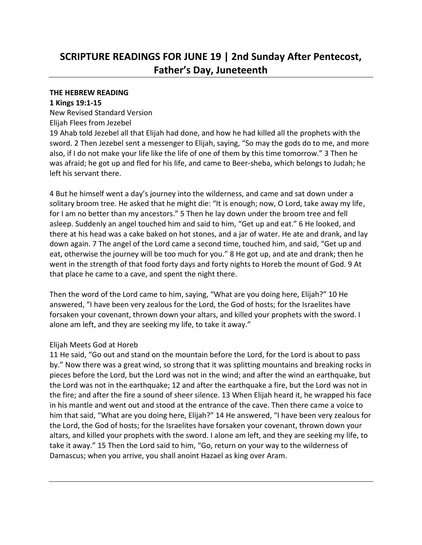# **SCRIPTURE READINGS FOR JUNE 19 | 2nd Sunday After Pentecost, Father's Day, Juneteenth**

#### **THE HEBREW READING**

#### **1 Kings 19:1-15**

New Revised Standard Version

# Elijah Flees from Jezebel

19 Ahab told Jezebel all that Elijah had done, and how he had killed all the prophets with the sword. 2 Then Jezebel sent a messenger to Elijah, saying, "So may the gods do to me, and more also, if I do not make your life like the life of one of them by this time tomorrow." 3 Then he was afraid; he got up and fled for his life, and came to Beer-sheba, which belongs to Judah; he left his servant there.

4 But he himself went a day's journey into the wilderness, and came and sat down under a solitary broom tree. He asked that he might die: "It is enough; now, O Lord, take away my life, for I am no better than my ancestors." 5 Then he lay down under the broom tree and fell asleep. Suddenly an angel touched him and said to him, "Get up and eat." 6 He looked, and there at his head was a cake baked on hot stones, and a jar of water. He ate and drank, and lay down again. 7 The angel of the Lord came a second time, touched him, and said, "Get up and eat, otherwise the journey will be too much for you." 8 He got up, and ate and drank; then he went in the strength of that food forty days and forty nights to Horeb the mount of God. 9 At that place he came to a cave, and spent the night there.

Then the word of the Lord came to him, saying, "What are you doing here, Elijah?" 10 He answered, "I have been very zealous for the Lord, the God of hosts; for the Israelites have forsaken your covenant, thrown down your altars, and killed your prophets with the sword. I alone am left, and they are seeking my life, to take it away."

## Elijah Meets God at Horeb

11 He said, "Go out and stand on the mountain before the Lord, for the Lord is about to pass by." Now there was a great wind, so strong that it was splitting mountains and breaking rocks in pieces before the Lord, but the Lord was not in the wind; and after the wind an earthquake, but the Lord was not in the earthquake; 12 and after the earthquake a fire, but the Lord was not in the fire; and after the fire a sound of sheer silence. 13 When Elijah heard it, he wrapped his face in his mantle and went out and stood at the entrance of the cave. Then there came a voice to him that said, "What are you doing here, Elijah?" 14 He answered, "I have been very zealous for the Lord, the God of hosts; for the Israelites have forsaken your covenant, thrown down your altars, and killed your prophets with the sword. I alone am left, and they are seeking my life, to take it away." 15 Then the Lord said to him, "Go, return on your way to the wilderness of Damascus; when you arrive, you shall anoint Hazael as king over Aram.